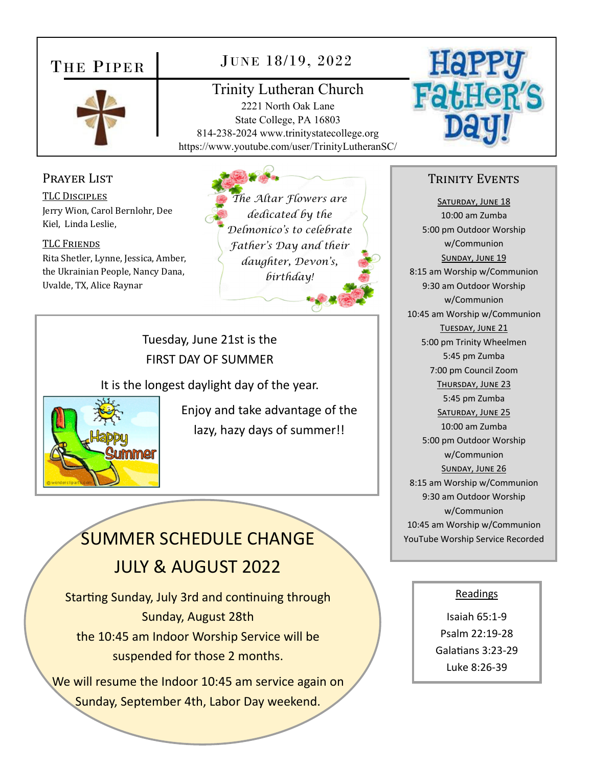## THE PIPER



## JUNE 18/19, 2022

Trinity Lutheran Church 2221 North Oak Lane State College, PA 16803 814-238-2024 www.trinitystatecollege.org https://www.youtube.com/user/TrinityLutheranSC/



#### Prayer List

TLC DISCIPLES Jerry Wion, Carol Bernlohr, Dee Kiel, Linda Leslie,

TLC FRIENDS Rita Shetler, Lynne, Jessica, Amber, the Ukrainian People, Nancy Dana, Uvalde, TX, Alice Raynar

*The Altar Flowers are dedicated by the Delmonico's to celebrate Father's Day and their daughter, Devon's, birthday!* 

Tuesday, June 21st is the FIRST DAY OF SUMMER

It is the longest daylight day of the year.



Enjoy and take advantage of the lazy, hazy days of summer!!

## SUMMER SCHEDULE CHANGE JULY & AUGUST 2022

Starting Sunday, July 3rd and continuing through Sunday, August 28th the 10:45 am Indoor Worship Service will be suspended for those 2 months.

We will resume the Indoor 10:45 am service again on Sunday, September 4th, Labor Day weekend.

#### TRINITY EVENTS

SATURDAY, JUNE 18 10:00 am Zumba 5:00 pm Outdoor Worship w/Communion SUNDAY, JUNE 19 8:15 am Worship w/Communion 9:30 am Outdoor Worship w/Communion 10:45 am Worship w/Communion TUESDAY, JUNE 21 5:00 pm Trinity Wheelmen 5:45 pm Zumba 7:00 pm Council Zoom THURSDAY, JUNE 23 5:45 pm Zumba SATURDAY, JUNE 25 10:00 am Zumba 5:00 pm Outdoor Worship w/Communion SUNDAY, JUNE 26 8:15 am Worship w/Communion 9:30 am Outdoor Worship w/Communion 10:45 am Worship w/Communion YouTube Worship Service Recorded

#### Readings

Isaiah 65:1‐9 Psalm 22:19‐28 Galatians 3:23-29 Luke 8:26‐39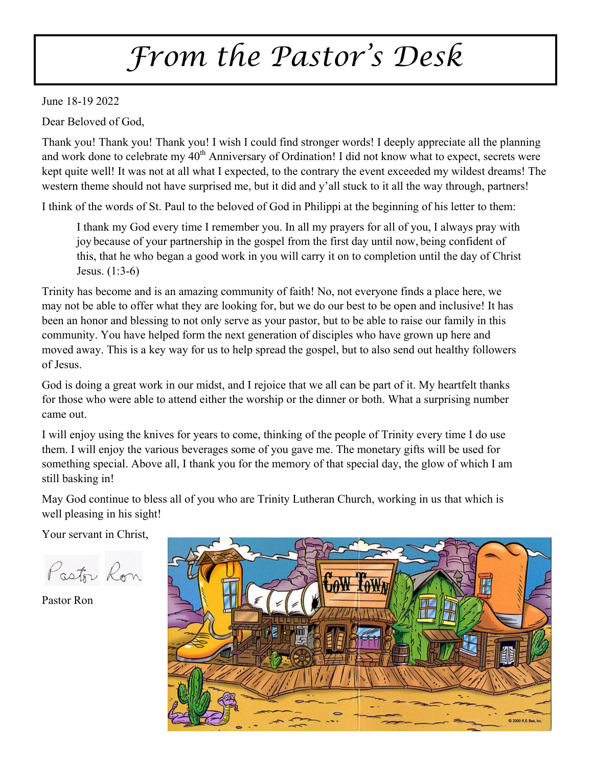# *From the Pastor's Desk*

June 18-19 2022

Dear Beloved of God,

Thank you! Thank you! Thank you! I wish I could find stronger words! I deeply appreciate all the planning and work done to celebrate my 40<sup>th</sup> Anniversary of Ordination! I did not know what to expect, secrets were kept quite well! It was not at all what I expected, to the contrary the event exceeded my wildest dreams! The western theme should not have surprised me, but it did and y'all stuck to it all the way through, partners!

I think of the words of St. Paul to the beloved of God in Philippi at the beginning of his letter to them:

I thank my God every time I remember you. In all my prayers for all of you, I always pray with joy because of your partnership in the gospel from the first day until now, being confident of this, that he who began a good work in you will carry it on to completion until the day of Christ Jesus. (1:3-6)

Trinity has become and is an amazing community of faith! No, not everyone finds a place here, we may not be able to offer what they are looking for, but we do our best to be open and inclusive! It has been an honor and blessing to not only serve as your pastor, but to be able to raise our family in this community. You have helped form the next generation of disciples who have grown up here and moved away. This is a key way for us to help spread the gospel, but to also send out healthy followers of Jesus.

God is doing a great work in our midst, and I rejoice that we all can be part of it. My heartfelt thanks for those who were able to attend either the worship or the dinner or both. What a surprising number came out.

I will enjoy using the knives for years to come, thinking of the people of Trinity every time I do use them. I will enjoy the various beverages some of you gave me. The monetary gifts will be used for something special. Above all, I thank you for the memory of that special day, the glow of which I am still basking in!

May God continue to bless all of you who are Trinity Lutheran Church, working in us that which is well pleasing in his sight!

Your servant in Christ,

Pastor Ron

Pastor Ron